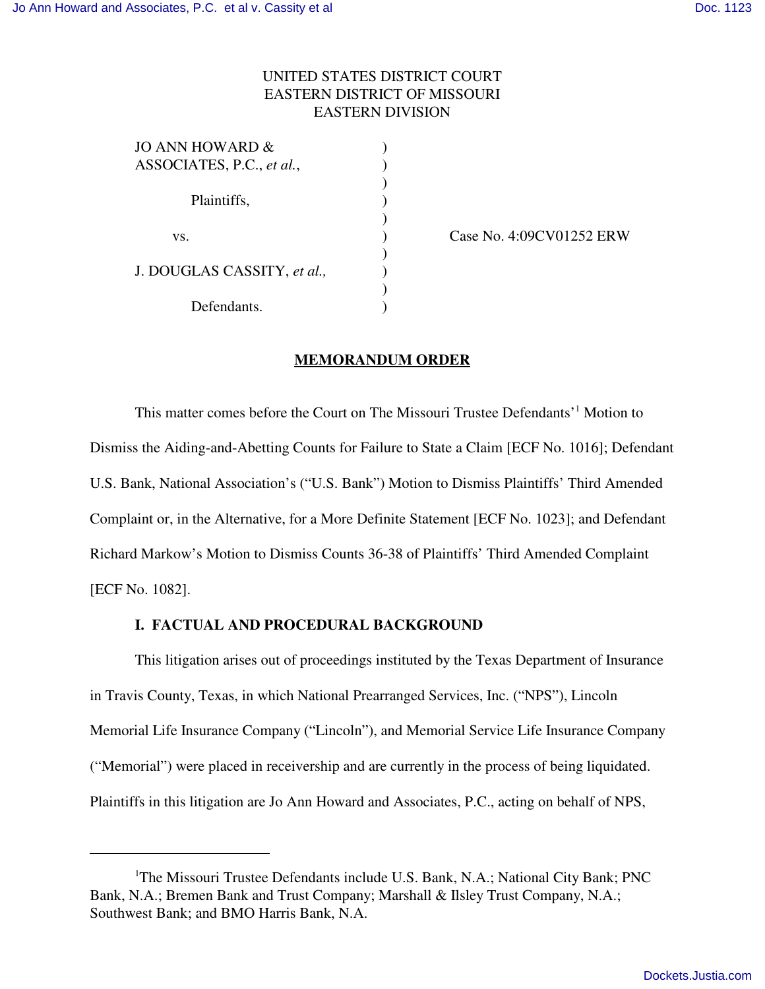## UNITED STATES DISTRICT COURT EASTERN DISTRICT OF MISSOURI EASTERN DIVISION

| JO ANN HOWARD &             |  |
|-----------------------------|--|
| ASSOCIATES, P.C., et al.,   |  |
| Plaintiffs,                 |  |
|                             |  |
|                             |  |
| VS.                         |  |
|                             |  |
| J. DOUGLAS CASSITY, et al., |  |
|                             |  |
| Defendants.                 |  |
|                             |  |

Case No. 4:09CV01252 ERW

### **MEMORANDUM ORDER**

This matter comes before the Court on The Missouri Trustee Defendants'<sup>1</sup> Motion to Dismiss the Aiding-and-Abetting Counts for Failure to State a Claim [ECF No. 1016]; Defendant U.S. Bank, National Association's ("U.S. Bank") Motion to Dismiss Plaintiffs' Third Amended Complaint or, in the Alternative, for a More Definite Statement [ECF No. 1023]; and Defendant Richard Markow's Motion to Dismiss Counts 36-38 of Plaintiffs' Third Amended Complaint [ECF No. 1082].

## **I. FACTUAL AND PROCEDURAL BACKGROUND**

This litigation arises out of proceedings instituted by the Texas Department of Insurance in Travis County, Texas, in which National Prearranged Services, Inc. ("NPS"), Lincoln Memorial Life Insurance Company ("Lincoln"), and Memorial Service Life Insurance Company ("Memorial") were placed in receivership and are currently in the process of being liquidated. Plaintiffs in this litigation are Jo Ann Howard and Associates, P.C., acting on behalf of NPS,

<sup>&</sup>lt;sup>1</sup>The Missouri Trustee Defendants include U.S. Bank, N.A.; National City Bank; PNC Bank, N.A.; Bremen Bank and Trust Company; Marshall & Ilsley Trust Company, N.A.; Southwest Bank; and BMO Harris Bank, N.A.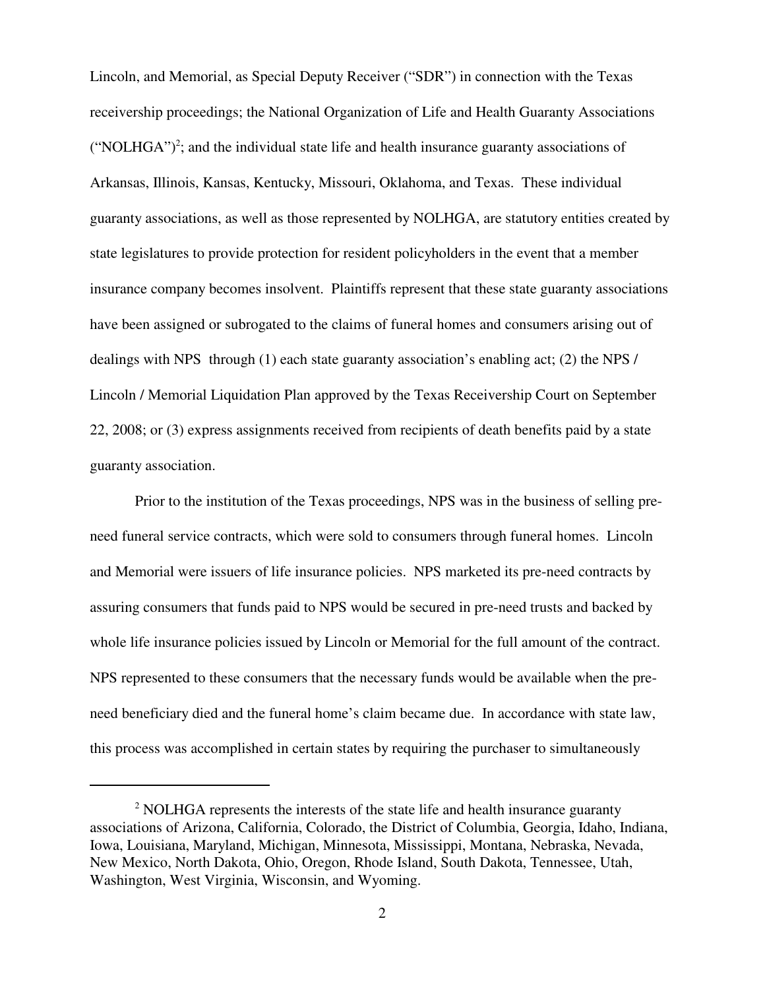Lincoln, and Memorial, as Special Deputy Receiver ("SDR") in connection with the Texas receivership proceedings; the National Organization of Life and Health Guaranty Associations  $("NOLHGA")<sup>2</sup>$ ; and the individual state life and health insurance guaranty associations of Arkansas, Illinois, Kansas, Kentucky, Missouri, Oklahoma, and Texas. These individual guaranty associations, as well as those represented by NOLHGA, are statutory entities created by state legislatures to provide protection for resident policyholders in the event that a member insurance company becomes insolvent. Plaintiffs represent that these state guaranty associations have been assigned or subrogated to the claims of funeral homes and consumers arising out of dealings with NPS through (1) each state guaranty association's enabling act; (2) the NPS / Lincoln / Memorial Liquidation Plan approved by the Texas Receivership Court on September 22, 2008; or (3) express assignments received from recipients of death benefits paid by a state guaranty association.

Prior to the institution of the Texas proceedings, NPS was in the business of selling preneed funeral service contracts, which were sold to consumers through funeral homes. Lincoln and Memorial were issuers of life insurance policies. NPS marketed its pre-need contracts by assuring consumers that funds paid to NPS would be secured in pre-need trusts and backed by whole life insurance policies issued by Lincoln or Memorial for the full amount of the contract. NPS represented to these consumers that the necessary funds would be available when the preneed beneficiary died and the funeral home's claim became due. In accordance with state law, this process was accomplished in certain states by requiring the purchaser to simultaneously

<sup>&</sup>lt;sup>2</sup> NOLHGA represents the interests of the state life and health insurance guaranty associations of Arizona, California, Colorado, the District of Columbia, Georgia, Idaho, Indiana, Iowa, Louisiana, Maryland, Michigan, Minnesota, Mississippi, Montana, Nebraska, Nevada, New Mexico, North Dakota, Ohio, Oregon, Rhode Island, South Dakota, Tennessee, Utah, Washington, West Virginia, Wisconsin, and Wyoming.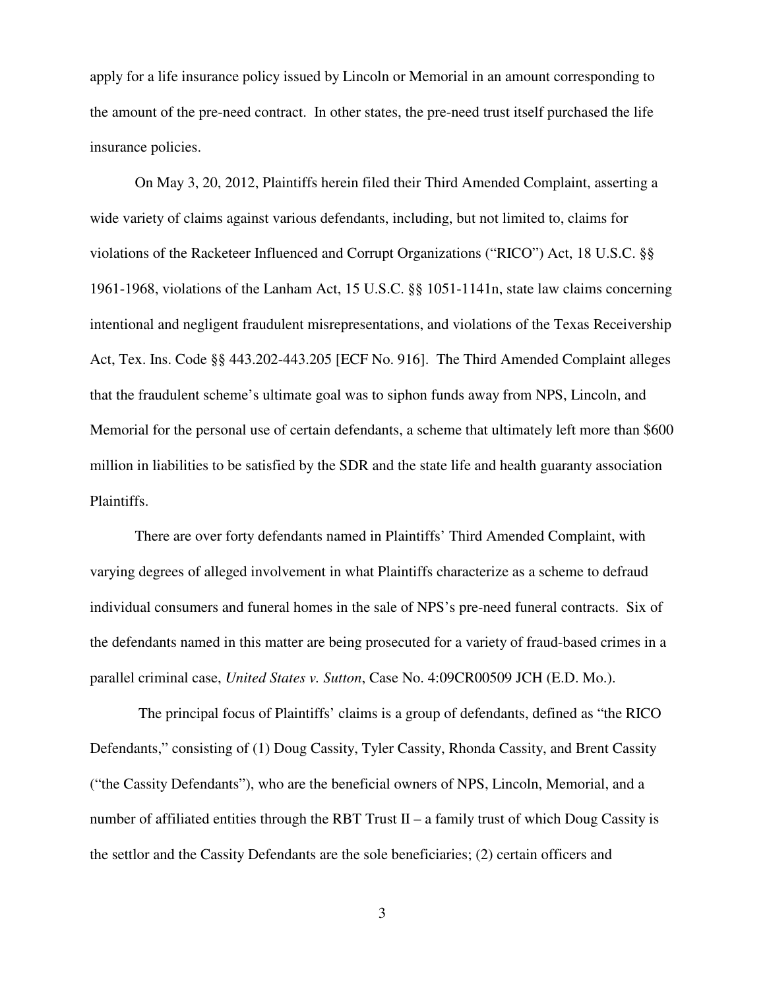apply for a life insurance policy issued by Lincoln or Memorial in an amount corresponding to the amount of the pre-need contract. In other states, the pre-need trust itself purchased the life insurance policies.

On May 3, 20, 2012, Plaintiffs herein filed their Third Amended Complaint, asserting a wide variety of claims against various defendants, including, but not limited to, claims for violations of the Racketeer Influenced and Corrupt Organizations ("RICO") Act, 18 U.S.C. §§ 1961-1968, violations of the Lanham Act, 15 U.S.C. §§ 1051-1141n, state law claims concerning intentional and negligent fraudulent misrepresentations, and violations of the Texas Receivership Act, Tex. Ins. Code §§ 443.202-443.205 [ECF No. 916]. The Third Amended Complaint alleges that the fraudulent scheme's ultimate goal was to siphon funds away from NPS, Lincoln, and Memorial for the personal use of certain defendants, a scheme that ultimately left more than \$600 million in liabilities to be satisfied by the SDR and the state life and health guaranty association Plaintiffs.

There are over forty defendants named in Plaintiffs' Third Amended Complaint, with varying degrees of alleged involvement in what Plaintiffs characterize as a scheme to defraud individual consumers and funeral homes in the sale of NPS's pre-need funeral contracts. Six of the defendants named in this matter are being prosecuted for a variety of fraud-based crimes in a parallel criminal case, *United States v. Sutton*, Case No. 4:09CR00509 JCH (E.D. Mo.).

 The principal focus of Plaintiffs' claims is a group of defendants, defined as "the RICO Defendants," consisting of (1) Doug Cassity, Tyler Cassity, Rhonda Cassity, and Brent Cassity ("the Cassity Defendants"), who are the beneficial owners of NPS, Lincoln, Memorial, and a number of affiliated entities through the RBT Trust II – a family trust of which Doug Cassity is the settlor and the Cassity Defendants are the sole beneficiaries; (2) certain officers and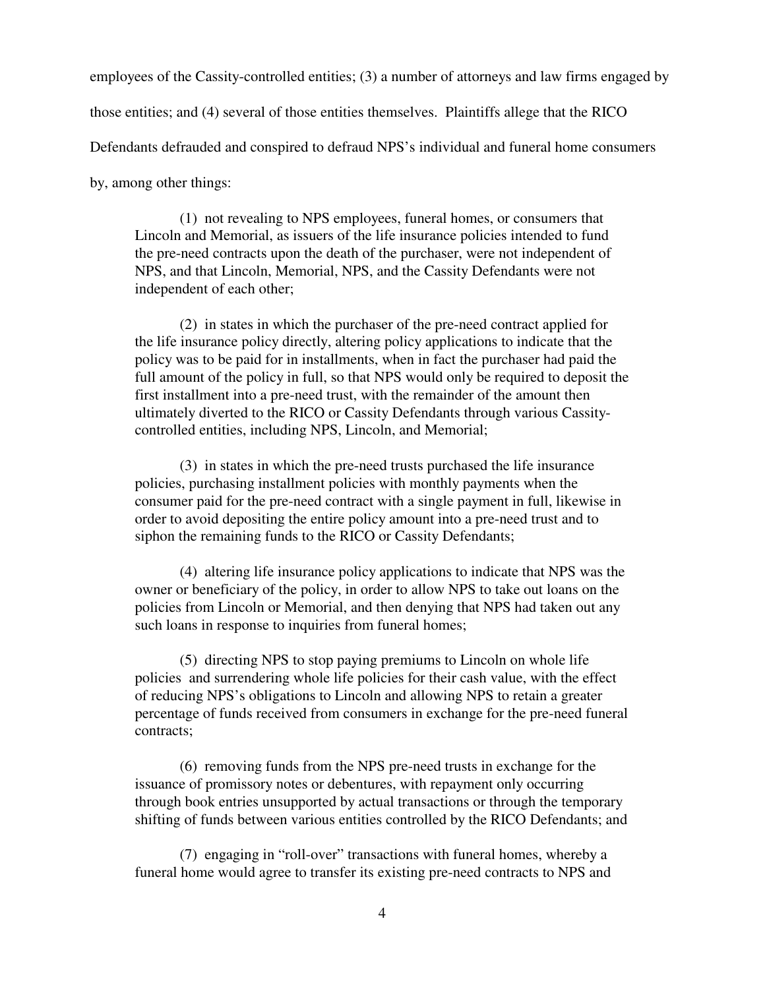employees of the Cassity-controlled entities; (3) a number of attorneys and law firms engaged by

those entities; and (4) several of those entities themselves. Plaintiffs allege that the RICO

Defendants defrauded and conspired to defraud NPS's individual and funeral home consumers

by, among other things:

(1) not revealing to NPS employees, funeral homes, or consumers that Lincoln and Memorial, as issuers of the life insurance policies intended to fund the pre-need contracts upon the death of the purchaser, were not independent of NPS, and that Lincoln, Memorial, NPS, and the Cassity Defendants were not independent of each other;

(2) in states in which the purchaser of the pre-need contract applied for the life insurance policy directly, altering policy applications to indicate that the policy was to be paid for in installments, when in fact the purchaser had paid the full amount of the policy in full, so that NPS would only be required to deposit the first installment into a pre-need trust, with the remainder of the amount then ultimately diverted to the RICO or Cassity Defendants through various Cassitycontrolled entities, including NPS, Lincoln, and Memorial;

(3) in states in which the pre-need trusts purchased the life insurance policies, purchasing installment policies with monthly payments when the consumer paid for the pre-need contract with a single payment in full, likewise in order to avoid depositing the entire policy amount into a pre-need trust and to siphon the remaining funds to the RICO or Cassity Defendants;

(4) altering life insurance policy applications to indicate that NPS was the owner or beneficiary of the policy, in order to allow NPS to take out loans on the policies from Lincoln or Memorial, and then denying that NPS had taken out any such loans in response to inquiries from funeral homes;

(5) directing NPS to stop paying premiums to Lincoln on whole life policies and surrendering whole life policies for their cash value, with the effect of reducing NPS's obligations to Lincoln and allowing NPS to retain a greater percentage of funds received from consumers in exchange for the pre-need funeral contracts;

(6) removing funds from the NPS pre-need trusts in exchange for the issuance of promissory notes or debentures, with repayment only occurring through book entries unsupported by actual transactions or through the temporary shifting of funds between various entities controlled by the RICO Defendants; and

(7) engaging in "roll-over" transactions with funeral homes, whereby a funeral home would agree to transfer its existing pre-need contracts to NPS and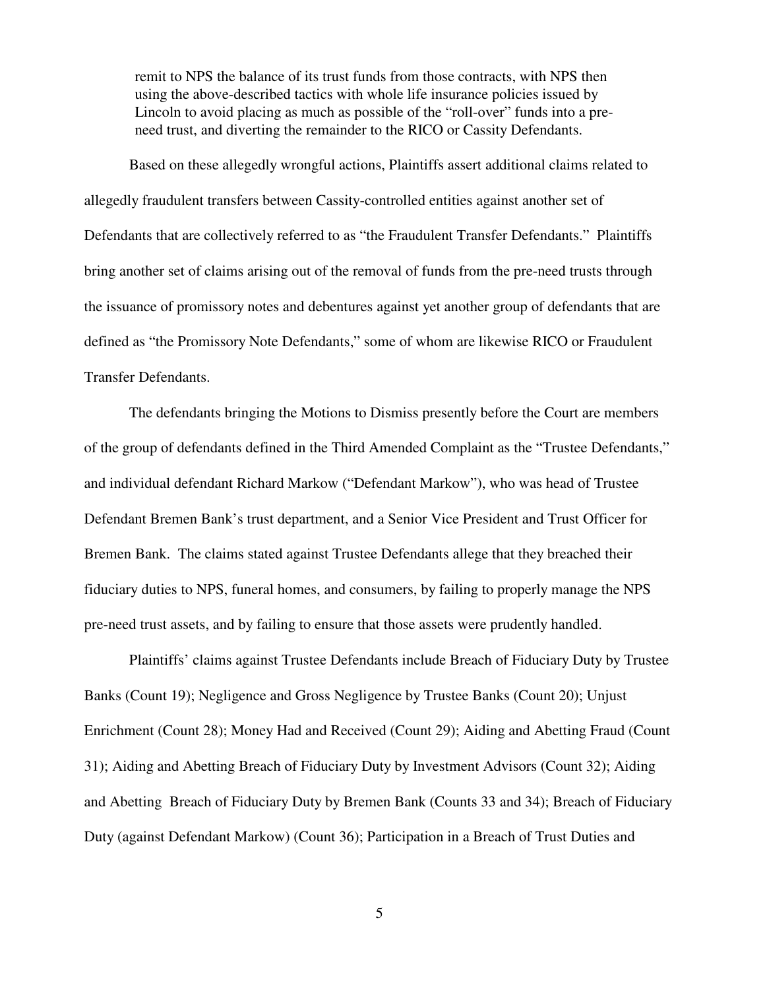remit to NPS the balance of its trust funds from those contracts, with NPS then using the above-described tactics with whole life insurance policies issued by Lincoln to avoid placing as much as possible of the "roll-over" funds into a preneed trust, and diverting the remainder to the RICO or Cassity Defendants.

Based on these allegedly wrongful actions, Plaintiffs assert additional claims related to allegedly fraudulent transfers between Cassity-controlled entities against another set of Defendants that are collectively referred to as "the Fraudulent Transfer Defendants." Plaintiffs bring another set of claims arising out of the removal of funds from the pre-need trusts through the issuance of promissory notes and debentures against yet another group of defendants that are defined as "the Promissory Note Defendants," some of whom are likewise RICO or Fraudulent Transfer Defendants.

The defendants bringing the Motions to Dismiss presently before the Court are members of the group of defendants defined in the Third Amended Complaint as the "Trustee Defendants," and individual defendant Richard Markow ("Defendant Markow"), who was head of Trustee Defendant Bremen Bank's trust department, and a Senior Vice President and Trust Officer for Bremen Bank. The claims stated against Trustee Defendants allege that they breached their fiduciary duties to NPS, funeral homes, and consumers, by failing to properly manage the NPS pre-need trust assets, and by failing to ensure that those assets were prudently handled.

Plaintiffs' claims against Trustee Defendants include Breach of Fiduciary Duty by Trustee Banks (Count 19); Negligence and Gross Negligence by Trustee Banks (Count 20); Unjust Enrichment (Count 28); Money Had and Received (Count 29); Aiding and Abetting Fraud (Count 31); Aiding and Abetting Breach of Fiduciary Duty by Investment Advisors (Count 32); Aiding and Abetting Breach of Fiduciary Duty by Bremen Bank (Counts 33 and 34); Breach of Fiduciary Duty (against Defendant Markow) (Count 36); Participation in a Breach of Trust Duties and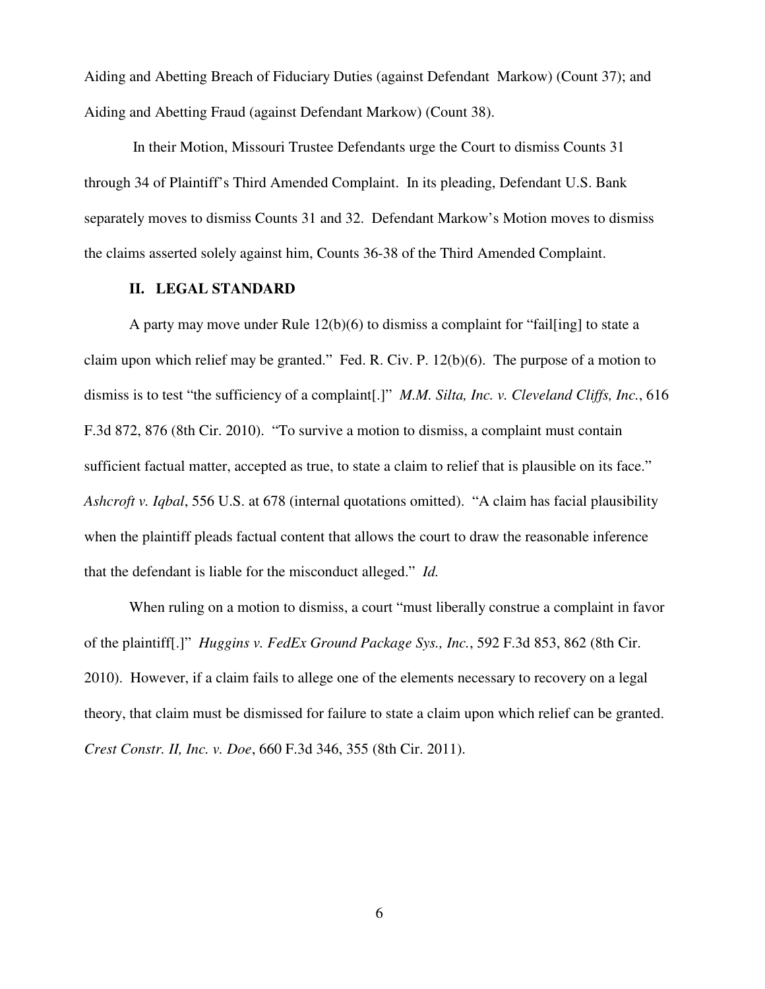Aiding and Abetting Breach of Fiduciary Duties (against Defendant Markow) (Count 37); and Aiding and Abetting Fraud (against Defendant Markow) (Count 38).

In their Motion, Missouri Trustee Defendants urge the Court to dismiss Counts 31 through 34 of Plaintiff's Third Amended Complaint. In its pleading, Defendant U.S. Bank separately moves to dismiss Counts 31 and 32. Defendant Markow's Motion moves to dismiss the claims asserted solely against him, Counts 36-38 of the Third Amended Complaint.

## **II. LEGAL STANDARD**

A party may move under Rule 12(b)(6) to dismiss a complaint for "fail[ing] to state a claim upon which relief may be granted." Fed. R. Civ. P. 12(b)(6). The purpose of a motion to dismiss is to test "the sufficiency of a complaint[.]" *M.M. Silta, Inc. v. Cleveland Cliffs, Inc.*, 616 F.3d 872, 876 (8th Cir. 2010). "To survive a motion to dismiss, a complaint must contain sufficient factual matter, accepted as true, to state a claim to relief that is plausible on its face." *Ashcroft v. Iqbal*, 556 U.S. at 678 (internal quotations omitted). "A claim has facial plausibility when the plaintiff pleads factual content that allows the court to draw the reasonable inference that the defendant is liable for the misconduct alleged." *Id.*

When ruling on a motion to dismiss, a court "must liberally construe a complaint in favor of the plaintiff[.]" *Huggins v. FedEx Ground Package Sys., Inc.*, 592 F.3d 853, 862 (8th Cir. 2010). However, if a claim fails to allege one of the elements necessary to recovery on a legal theory, that claim must be dismissed for failure to state a claim upon which relief can be granted. *Crest Constr. II, Inc. v. Doe*, 660 F.3d 346, 355 (8th Cir. 2011).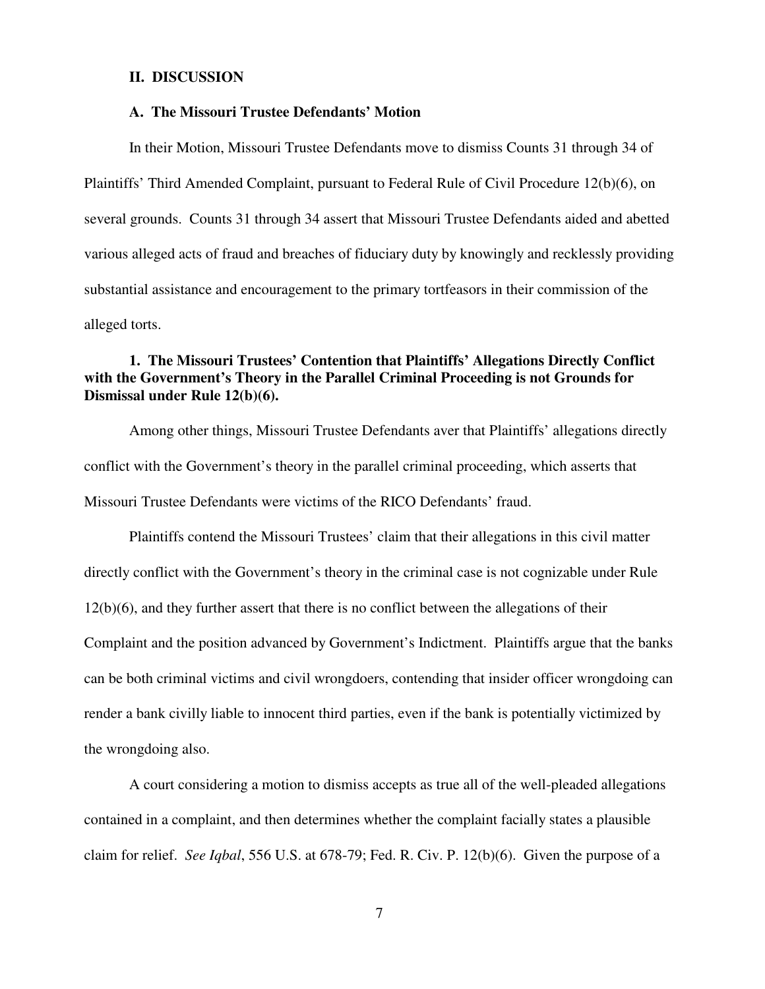#### **II. DISCUSSION**

### **A. The Missouri Trustee Defendants' Motion**

In their Motion, Missouri Trustee Defendants move to dismiss Counts 31 through 34 of Plaintiffs' Third Amended Complaint, pursuant to Federal Rule of Civil Procedure 12(b)(6), on several grounds. Counts 31 through 34 assert that Missouri Trustee Defendants aided and abetted various alleged acts of fraud and breaches of fiduciary duty by knowingly and recklessly providing substantial assistance and encouragement to the primary tortfeasors in their commission of the alleged torts.

# **1. The Missouri Trustees' Contention that Plaintiffs' Allegations Directly Conflict with the Government's Theory in the Parallel Criminal Proceeding is not Grounds for Dismissal under Rule 12(b)(6).**

Among other things, Missouri Trustee Defendants aver that Plaintiffs' allegations directly conflict with the Government's theory in the parallel criminal proceeding, which asserts that Missouri Trustee Defendants were victims of the RICO Defendants' fraud.

Plaintiffs contend the Missouri Trustees' claim that their allegations in this civil matter directly conflict with the Government's theory in the criminal case is not cognizable under Rule 12(b)(6), and they further assert that there is no conflict between the allegations of their Complaint and the position advanced by Government's Indictment. Plaintiffs argue that the banks can be both criminal victims and civil wrongdoers, contending that insider officer wrongdoing can render a bank civilly liable to innocent third parties, even if the bank is potentially victimized by the wrongdoing also.

A court considering a motion to dismiss accepts as true all of the well-pleaded allegations contained in a complaint, and then determines whether the complaint facially states a plausible claim for relief. *See Iqbal*, 556 U.S. at 678-79; Fed. R. Civ. P. 12(b)(6). Given the purpose of a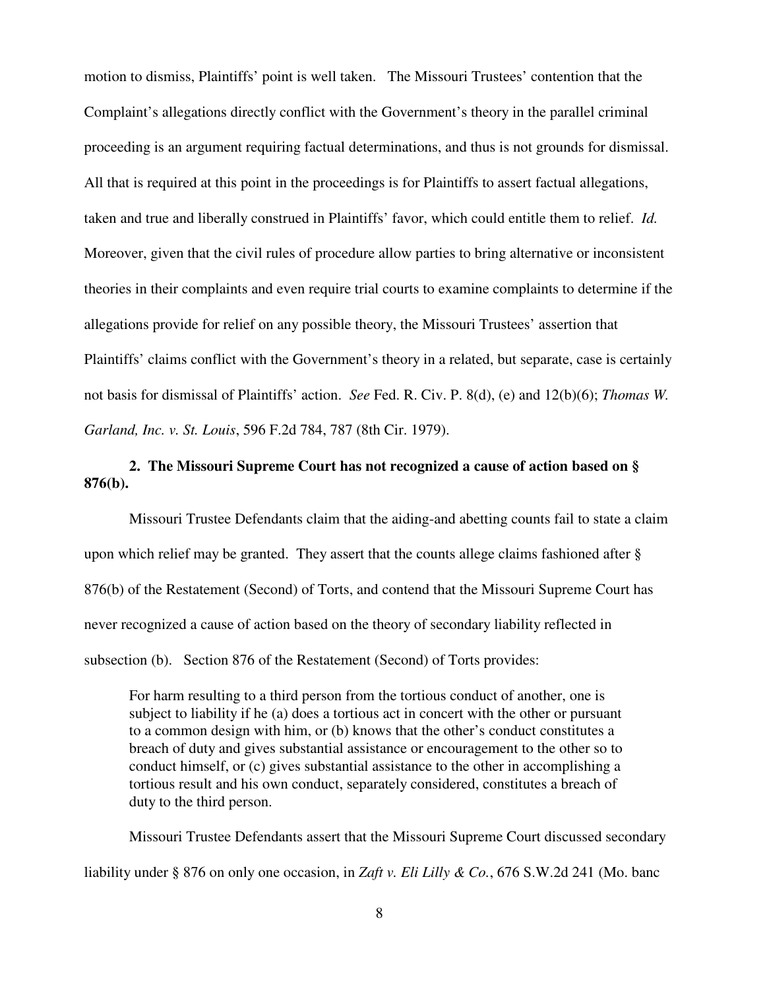motion to dismiss, Plaintiffs' point is well taken. The Missouri Trustees' contention that the Complaint's allegations directly conflict with the Government's theory in the parallel criminal proceeding is an argument requiring factual determinations, and thus is not grounds for dismissal. All that is required at this point in the proceedings is for Plaintiffs to assert factual allegations, taken and true and liberally construed in Plaintiffs' favor, which could entitle them to relief. *Id.* Moreover, given that the civil rules of procedure allow parties to bring alternative or inconsistent theories in their complaints and even require trial courts to examine complaints to determine if the allegations provide for relief on any possible theory, the Missouri Trustees' assertion that Plaintiffs' claims conflict with the Government's theory in a related, but separate, case is certainly not basis for dismissal of Plaintiffs' action. *See* Fed. R. Civ. P. 8(d), (e) and 12(b)(6); *Thomas W. Garland, Inc. v. St. Louis*, 596 F.2d 784, 787 (8th Cir. 1979).

# **2. The Missouri Supreme Court has not recognized a cause of action based on § 876(b).**

Missouri Trustee Defendants claim that the aiding-and abetting counts fail to state a claim upon which relief may be granted. They assert that the counts allege claims fashioned after § 876(b) of the Restatement (Second) of Torts, and contend that the Missouri Supreme Court has never recognized a cause of action based on the theory of secondary liability reflected in subsection (b). Section 876 of the Restatement (Second) of Torts provides:

For harm resulting to a third person from the tortious conduct of another, one is subject to liability if he (a) does a tortious act in concert with the other or pursuant to a common design with him, or (b) knows that the other's conduct constitutes a breach of duty and gives substantial assistance or encouragement to the other so to conduct himself, or (c) gives substantial assistance to the other in accomplishing a tortious result and his own conduct, separately considered, constitutes a breach of duty to the third person.

Missouri Trustee Defendants assert that the Missouri Supreme Court discussed secondary liability under § 876 on only one occasion, in *Zaft v. Eli Lilly & Co.*, 676 S.W.2d 241 (Mo. banc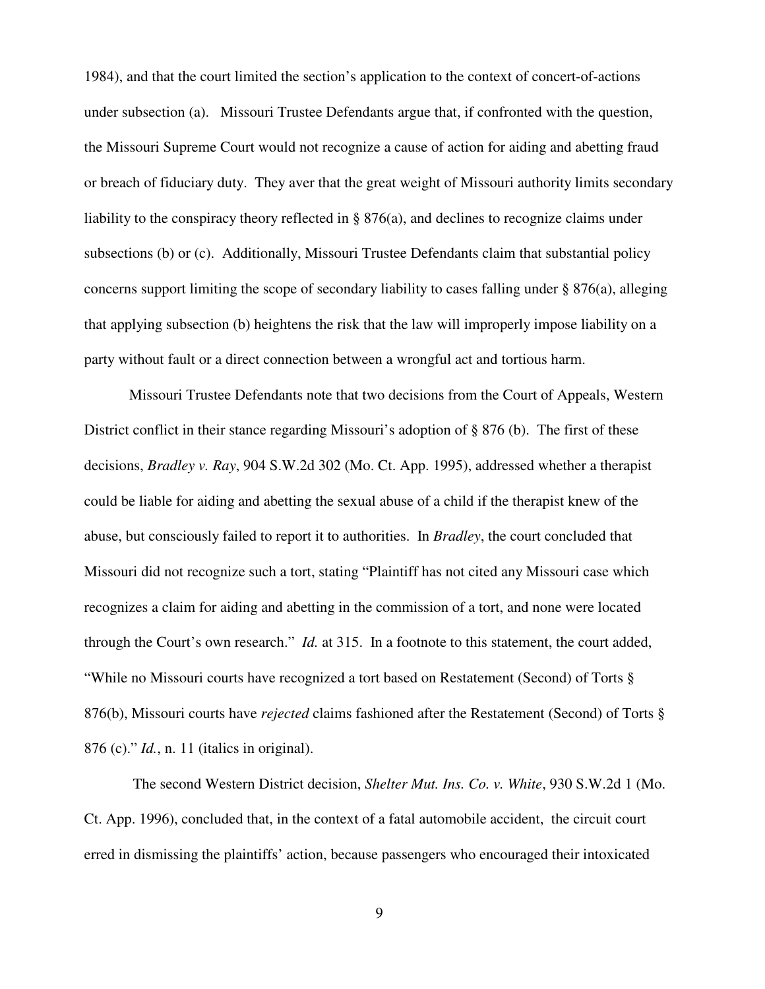1984), and that the court limited the section's application to the context of concert-of-actions under subsection (a). Missouri Trustee Defendants argue that, if confronted with the question, the Missouri Supreme Court would not recognize a cause of action for aiding and abetting fraud or breach of fiduciary duty. They aver that the great weight of Missouri authority limits secondary liability to the conspiracy theory reflected in § 876(a), and declines to recognize claims under subsections (b) or (c). Additionally, Missouri Trustee Defendants claim that substantial policy concerns support limiting the scope of secondary liability to cases falling under § 876(a), alleging that applying subsection (b) heightens the risk that the law will improperly impose liability on a party without fault or a direct connection between a wrongful act and tortious harm.

Missouri Trustee Defendants note that two decisions from the Court of Appeals, Western District conflict in their stance regarding Missouri's adoption of § 876 (b). The first of these decisions, *Bradley v. Ray*, 904 S.W.2d 302 (Mo. Ct. App. 1995), addressed whether a therapist could be liable for aiding and abetting the sexual abuse of a child if the therapist knew of the abuse, but consciously failed to report it to authorities. In *Bradley*, the court concluded that Missouri did not recognize such a tort, stating "Plaintiff has not cited any Missouri case which recognizes a claim for aiding and abetting in the commission of a tort, and none were located through the Court's own research." *Id.* at 315. In a footnote to this statement, the court added, "While no Missouri courts have recognized a tort based on Restatement (Second) of Torts § 876(b), Missouri courts have *rejected* claims fashioned after the Restatement (Second) of Torts § 876 (c)." *Id.*, n. 11 (italics in original).

 The second Western District decision, *Shelter Mut. Ins. Co. v. White*, 930 S.W.2d 1 (Mo. Ct. App. 1996), concluded that, in the context of a fatal automobile accident, the circuit court erred in dismissing the plaintiffs' action, because passengers who encouraged their intoxicated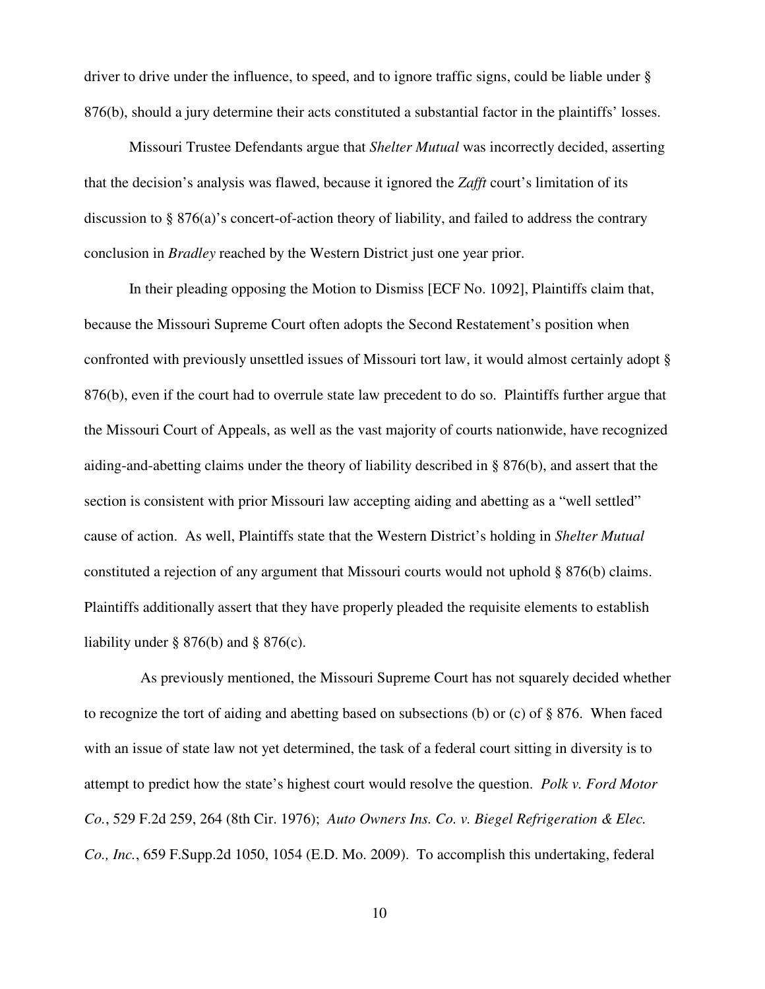driver to drive under the influence, to speed, and to ignore traffic signs, could be liable under § 876(b), should a jury determine their acts constituted a substantial factor in the plaintiffs' losses.

Missouri Trustee Defendants argue that *Shelter Mutual* was incorrectly decided, asserting that the decision's analysis was flawed, because it ignored the *Zafft* court's limitation of its discussion to § 876(a)'s concert-of-action theory of liability, and failed to address the contrary conclusion in *Bradley* reached by the Western District just one year prior.

In their pleading opposing the Motion to Dismiss [ECF No. 1092], Plaintiffs claim that, because the Missouri Supreme Court often adopts the Second Restatement's position when confronted with previously unsettled issues of Missouri tort law, it would almost certainly adopt § 876(b), even if the court had to overrule state law precedent to do so. Plaintiffs further argue that the Missouri Court of Appeals, as well as the vast majority of courts nationwide, have recognized aiding-and-abetting claims under the theory of liability described in § 876(b), and assert that the section is consistent with prior Missouri law accepting aiding and abetting as a "well settled" cause of action. As well, Plaintiffs state that the Western District's holding in *Shelter Mutual* constituted a rejection of any argument that Missouri courts would not uphold § 876(b) claims. Plaintiffs additionally assert that they have properly pleaded the requisite elements to establish liability under  $\S 876(b)$  and  $\S 876(c)$ .

 As previously mentioned, the Missouri Supreme Court has not squarely decided whether to recognize the tort of aiding and abetting based on subsections (b) or (c) of § 876. When faced with an issue of state law not yet determined, the task of a federal court sitting in diversity is to attempt to predict how the state's highest court would resolve the question. *Polk v. Ford Motor Co.*, 529 F.2d 259, 264 (8th Cir. 1976); *Auto Owners Ins. Co. v. Biegel Refrigeration & Elec. Co., Inc.*, 659 F.Supp.2d 1050, 1054 (E.D. Mo. 2009). To accomplish this undertaking, federal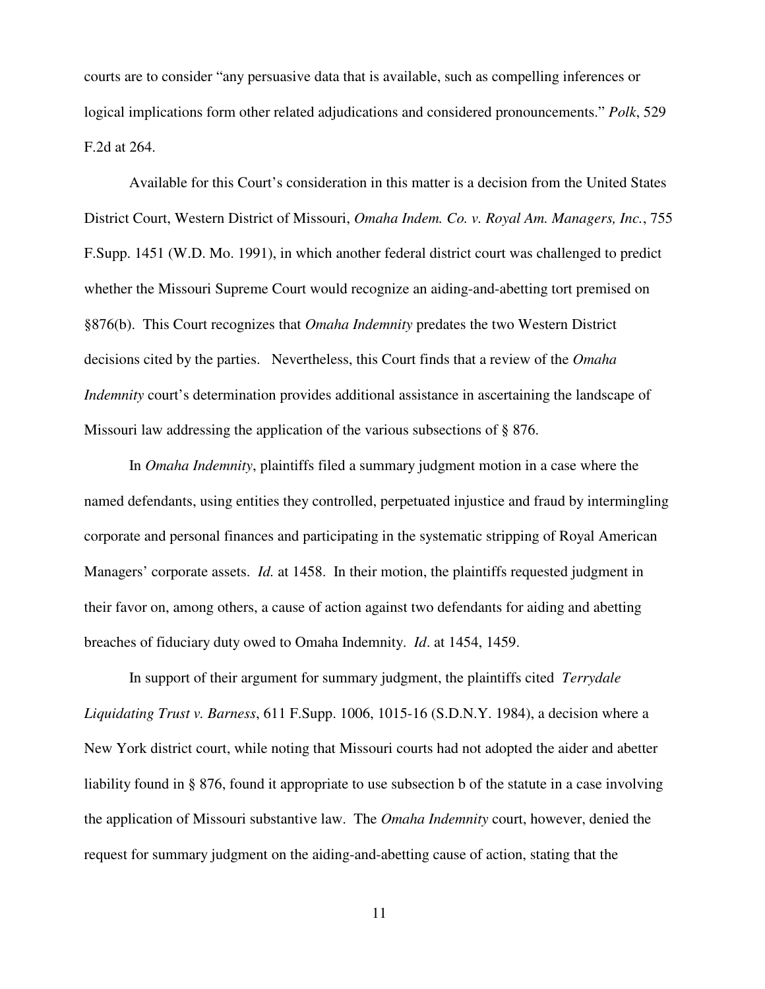courts are to consider "any persuasive data that is available, such as compelling inferences or logical implications form other related adjudications and considered pronouncements." *Polk*, 529 F.2d at 264.

Available for this Court's consideration in this matter is a decision from the United States District Court, Western District of Missouri, *Omaha Indem. Co. v. Royal Am. Managers, Inc.*, 755 F.Supp. 1451 (W.D. Mo. 1991), in which another federal district court was challenged to predict whether the Missouri Supreme Court would recognize an aiding-and-abetting tort premised on §876(b). This Court recognizes that *Omaha Indemnity* predates the two Western District decisions cited by the parties. Nevertheless, this Court finds that a review of the *Omaha Indemnity* court's determination provides additional assistance in ascertaining the landscape of Missouri law addressing the application of the various subsections of § 876.

In *Omaha Indemnity*, plaintiffs filed a summary judgment motion in a case where the named defendants, using entities they controlled, perpetuated injustice and fraud by intermingling corporate and personal finances and participating in the systematic stripping of Royal American Managers' corporate assets. *Id.* at 1458. In their motion, the plaintiffs requested judgment in their favor on, among others, a cause of action against two defendants for aiding and abetting breaches of fiduciary duty owed to Omaha Indemnity. *Id*. at 1454, 1459.

In support of their argument for summary judgment, the plaintiffs cited *Terrydale Liquidating Trust v. Barness*, 611 F.Supp. 1006, 1015-16 (S.D.N.Y. 1984), a decision where a New York district court, while noting that Missouri courts had not adopted the aider and abetter liability found in § 876, found it appropriate to use subsection b of the statute in a case involving the application of Missouri substantive law. The *Omaha Indemnity* court, however, denied the request for summary judgment on the aiding-and-abetting cause of action, stating that the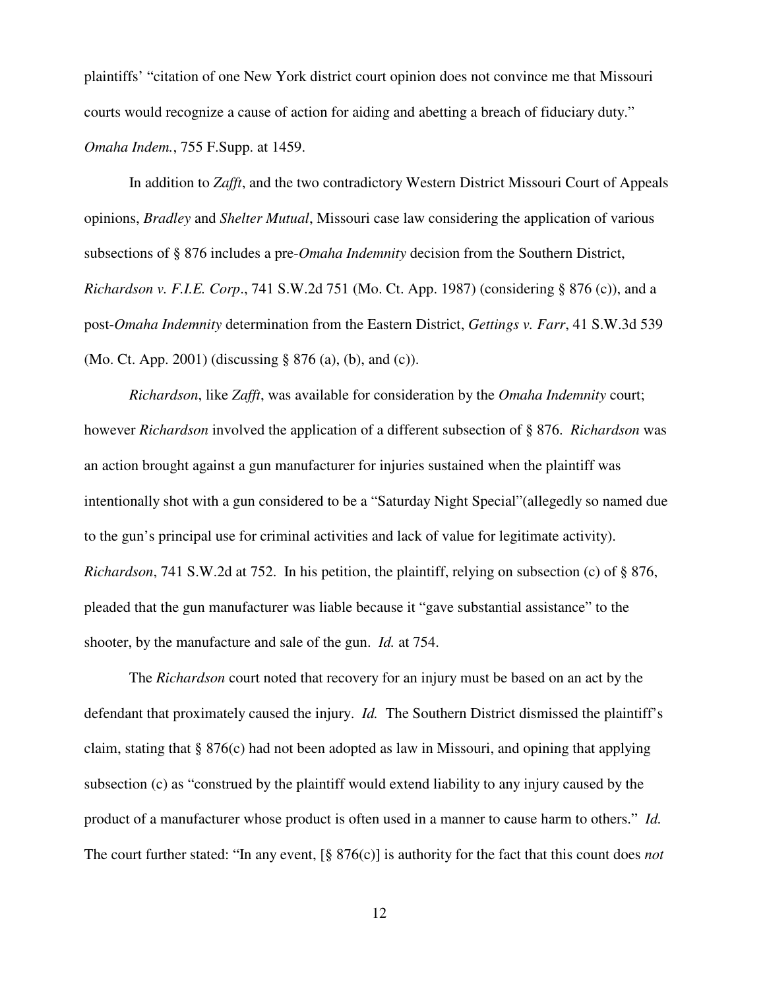plaintiffs' "citation of one New York district court opinion does not convince me that Missouri courts would recognize a cause of action for aiding and abetting a breach of fiduciary duty." *Omaha Indem.*, 755 F.Supp. at 1459.

In addition to *Zafft*, and the two contradictory Western District Missouri Court of Appeals opinions, *Bradley* and *Shelter Mutual*, Missouri case law considering the application of various subsections of § 876 includes a pre-*Omaha Indemnity* decision from the Southern District, *Richardson v. F.I.E. Corp*., 741 S.W.2d 751 (Mo. Ct. App. 1987) (considering § 876 (c)), and a post-*Omaha Indemnity* determination from the Eastern District, *Gettings v. Farr*, 41 S.W.3d 539 (Mo. Ct. App. 2001) (discussing § 876 (a), (b), and (c)).

*Richardson*, like *Zafft*, was available for consideration by the *Omaha Indemnity* court; however *Richardson* involved the application of a different subsection of § 876. *Richardson* was an action brought against a gun manufacturer for injuries sustained when the plaintiff was intentionally shot with a gun considered to be a "Saturday Night Special"(allegedly so named due to the gun's principal use for criminal activities and lack of value for legitimate activity). *Richardson*, 741 S.W.2d at 752. In his petition, the plaintiff, relying on subsection (c) of § 876, pleaded that the gun manufacturer was liable because it "gave substantial assistance" to the shooter, by the manufacture and sale of the gun. *Id.* at 754.

The *Richardson* court noted that recovery for an injury must be based on an act by the defendant that proximately caused the injury. *Id.* The Southern District dismissed the plaintiff's claim, stating that § 876(c) had not been adopted as law in Missouri, and opining that applying subsection (c) as "construed by the plaintiff would extend liability to any injury caused by the product of a manufacturer whose product is often used in a manner to cause harm to others." *Id.* The court further stated: "In any event, [§ 876(c)] is authority for the fact that this count does *not*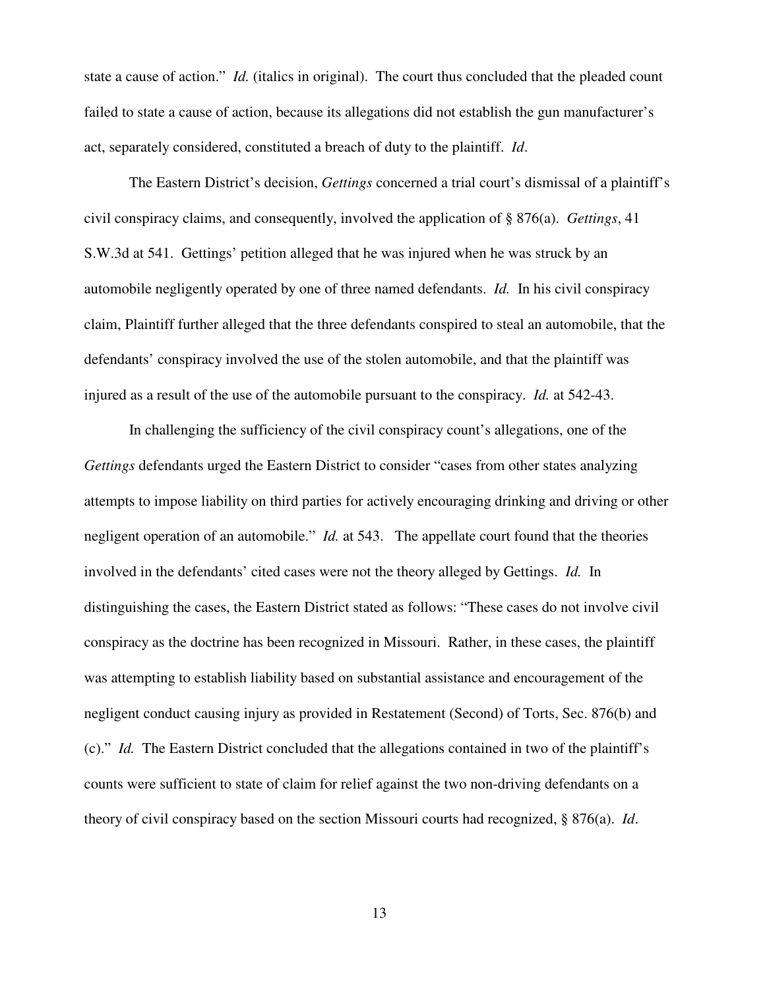state a cause of action." *Id.* (italics in original). The court thus concluded that the pleaded count failed to state a cause of action, because its allegations did not establish the gun manufacturer's act, separately considered, constituted a breach of duty to the plaintiff. *Id*.

The Eastern District's decision, *Gettings* concerned a trial court's dismissal of a plaintiff's civil conspiracy claims, and consequently, involved the application of § 876(a). *Gettings*, 41 S.W.3d at 541. Gettings' petition alleged that he was injured when he was struck by an automobile negligently operated by one of three named defendants. *Id.* In his civil conspiracy claim, Plaintiff further alleged that the three defendants conspired to steal an automobile, that the defendants' conspiracy involved the use of the stolen automobile, and that the plaintiff was injured as a result of the use of the automobile pursuant to the conspiracy. *Id.* at 542-43.

In challenging the sufficiency of the civil conspiracy count's allegations, one of the *Gettings* defendants urged the Eastern District to consider "cases from other states analyzing attempts to impose liability on third parties for actively encouraging drinking and driving or other negligent operation of an automobile." *Id.* at 543. The appellate court found that the theories involved in the defendants' cited cases were not the theory alleged by Gettings. *Id.* In distinguishing the cases, the Eastern District stated as follows: "These cases do not involve civil conspiracy as the doctrine has been recognized in Missouri. Rather, in these cases, the plaintiff was attempting to establish liability based on substantial assistance and encouragement of the negligent conduct causing injury as provided in Restatement (Second) of Torts, Sec. 876(b) and (c)." *Id.* The Eastern District concluded that the allegations contained in two of the plaintiff's counts were sufficient to state of claim for relief against the two non-driving defendants on a theory of civil conspiracy based on the section Missouri courts had recognized, § 876(a). *Id*.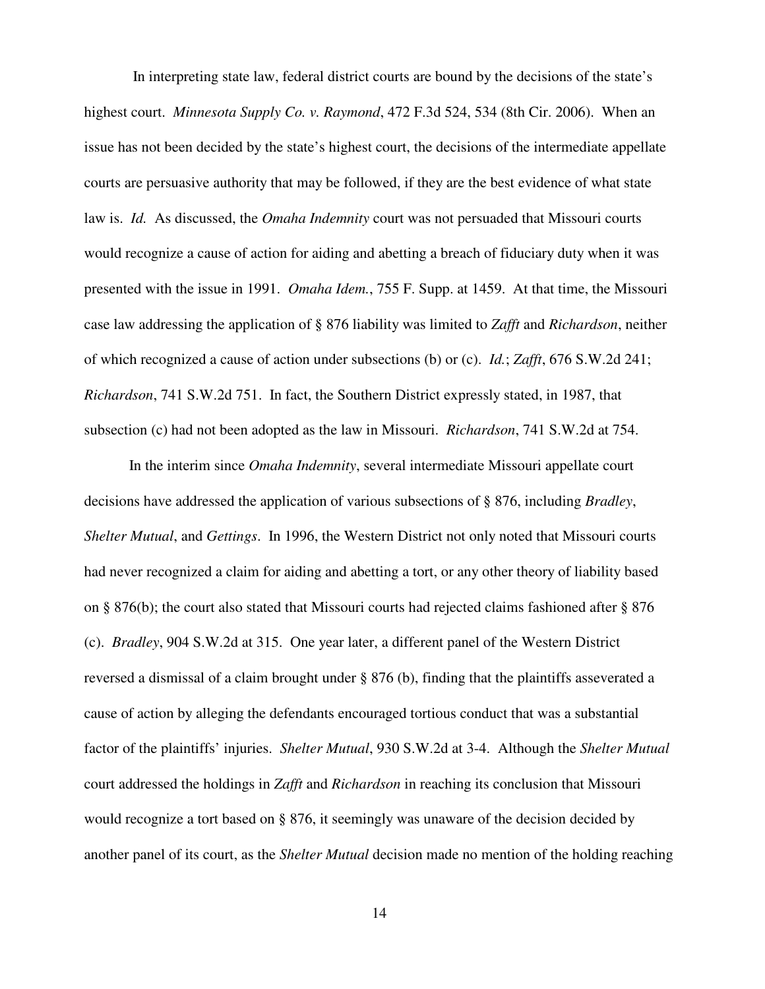In interpreting state law, federal district courts are bound by the decisions of the state's highest court. *Minnesota Supply Co. v. Raymond*, 472 F.3d 524, 534 (8th Cir. 2006). When an issue has not been decided by the state's highest court, the decisions of the intermediate appellate courts are persuasive authority that may be followed, if they are the best evidence of what state law is. *Id.* As discussed, the *Omaha Indemnity* court was not persuaded that Missouri courts would recognize a cause of action for aiding and abetting a breach of fiduciary duty when it was presented with the issue in 1991. *Omaha Idem.*, 755 F. Supp. at 1459. At that time, the Missouri case law addressing the application of § 876 liability was limited to *Zafft* and *Richardson*, neither of which recognized a cause of action under subsections (b) or (c). *Id.*; *Zafft*, 676 S.W.2d 241; *Richardson*, 741 S.W.2d 751. In fact, the Southern District expressly stated, in 1987, that subsection (c) had not been adopted as the law in Missouri. *Richardson*, 741 S.W.2d at 754.

In the interim since *Omaha Indemnity*, several intermediate Missouri appellate court decisions have addressed the application of various subsections of § 876, including *Bradley*, *Shelter Mutual*, and *Gettings*. In 1996, the Western District not only noted that Missouri courts had never recognized a claim for aiding and abetting a tort, or any other theory of liability based on § 876(b); the court also stated that Missouri courts had rejected claims fashioned after § 876 (c). *Bradley*, 904 S.W.2d at 315. One year later, a different panel of the Western District reversed a dismissal of a claim brought under § 876 (b), finding that the plaintiffs asseverated a cause of action by alleging the defendants encouraged tortious conduct that was a substantial factor of the plaintiffs' injuries. *Shelter Mutual*, 930 S.W.2d at 3-4. Although the *Shelter Mutual* court addressed the holdings in *Zafft* and *Richardson* in reaching its conclusion that Missouri would recognize a tort based on § 876, it seemingly was unaware of the decision decided by another panel of its court, as the *Shelter Mutual* decision made no mention of the holding reaching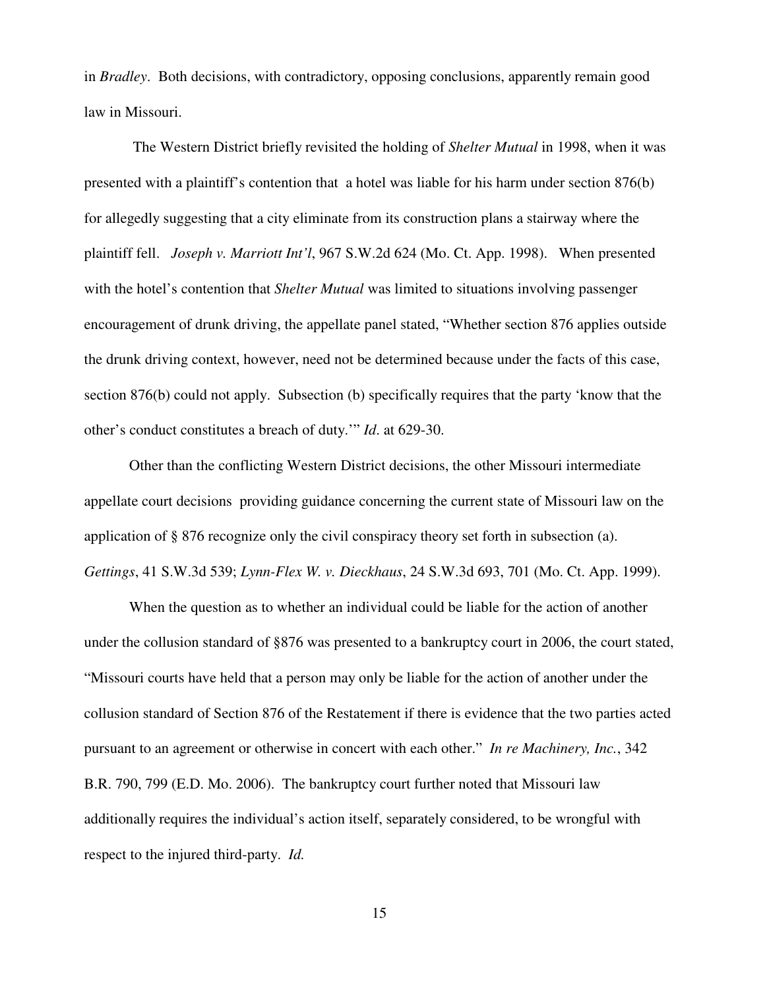in *Bradley*. Both decisions, with contradictory, opposing conclusions, apparently remain good law in Missouri.

 The Western District briefly revisited the holding of *Shelter Mutual* in 1998, when it was presented with a plaintiff's contention that a hotel was liable for his harm under section 876(b) for allegedly suggesting that a city eliminate from its construction plans a stairway where the plaintiff fell. *Joseph v. Marriott Int'l*, 967 S.W.2d 624 (Mo. Ct. App. 1998). When presented with the hotel's contention that *Shelter Mutual* was limited to situations involving passenger encouragement of drunk driving, the appellate panel stated, "Whether section 876 applies outside the drunk driving context, however, need not be determined because under the facts of this case, section 876(b) could not apply. Subsection (b) specifically requires that the party 'know that the other's conduct constitutes a breach of duty.'" *Id*. at 629-30.

Other than the conflicting Western District decisions, the other Missouri intermediate appellate court decisions providing guidance concerning the current state of Missouri law on the application of § 876 recognize only the civil conspiracy theory set forth in subsection (a). *Gettings*, 41 S.W.3d 539; *Lynn-Flex W. v. Dieckhaus*, 24 S.W.3d 693, 701 (Mo. Ct. App. 1999).

When the question as to whether an individual could be liable for the action of another under the collusion standard of §876 was presented to a bankruptcy court in 2006, the court stated, "Missouri courts have held that a person may only be liable for the action of another under the collusion standard of Section 876 of the Restatement if there is evidence that the two parties acted pursuant to an agreement or otherwise in concert with each other." *In re Machinery, Inc.*, 342 B.R. 790, 799 (E.D. Mo. 2006). The bankruptcy court further noted that Missouri law additionally requires the individual's action itself, separately considered, to be wrongful with respect to the injured third-party. *Id.*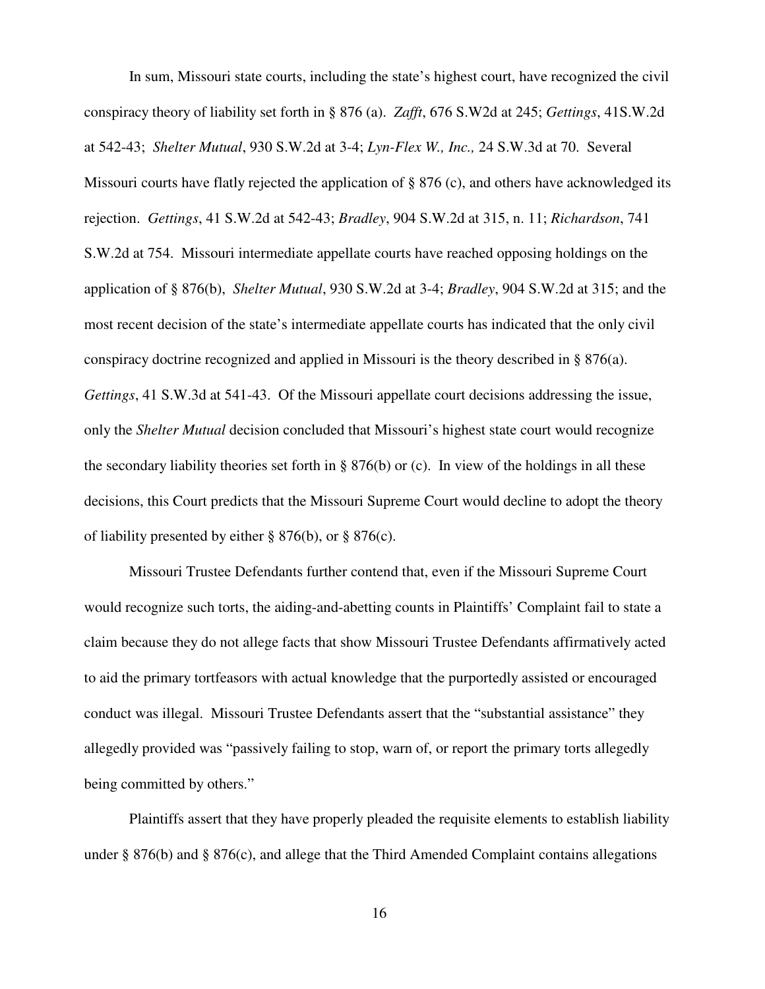In sum, Missouri state courts, including the state's highest court, have recognized the civil conspiracy theory of liability set forth in § 876 (a). *Zafft*, 676 S.W2d at 245; *Gettings*, 41S.W.2d at 542-43; *Shelter Mutual*, 930 S.W.2d at 3-4; *Lyn-Flex W., Inc.,* 24 S.W.3d at 70. Several Missouri courts have flatly rejected the application of § 876 (c), and others have acknowledged its rejection. *Gettings*, 41 S.W.2d at 542-43; *Bradley*, 904 S.W.2d at 315, n. 11; *Richardson*, 741 S.W.2d at 754. Missouri intermediate appellate courts have reached opposing holdings on the application of § 876(b), *Shelter Mutual*, 930 S.W.2d at 3-4; *Bradley*, 904 S.W.2d at 315; and the most recent decision of the state's intermediate appellate courts has indicated that the only civil conspiracy doctrine recognized and applied in Missouri is the theory described in § 876(a). *Gettings*, 41 S.W.3d at 541-43. Of the Missouri appellate court decisions addressing the issue, only the *Shelter Mutual* decision concluded that Missouri's highest state court would recognize the secondary liability theories set forth in  $\S 876(b)$  or (c). In view of the holdings in all these decisions, this Court predicts that the Missouri Supreme Court would decline to adopt the theory of liability presented by either  $\S 876(b)$ , or  $\S 876(c)$ .

Missouri Trustee Defendants further contend that, even if the Missouri Supreme Court would recognize such torts, the aiding-and-abetting counts in Plaintiffs' Complaint fail to state a claim because they do not allege facts that show Missouri Trustee Defendants affirmatively acted to aid the primary tortfeasors with actual knowledge that the purportedly assisted or encouraged conduct was illegal. Missouri Trustee Defendants assert that the "substantial assistance" they allegedly provided was "passively failing to stop, warn of, or report the primary torts allegedly being committed by others."

Plaintiffs assert that they have properly pleaded the requisite elements to establish liability under § 876(b) and § 876(c), and allege that the Third Amended Complaint contains allegations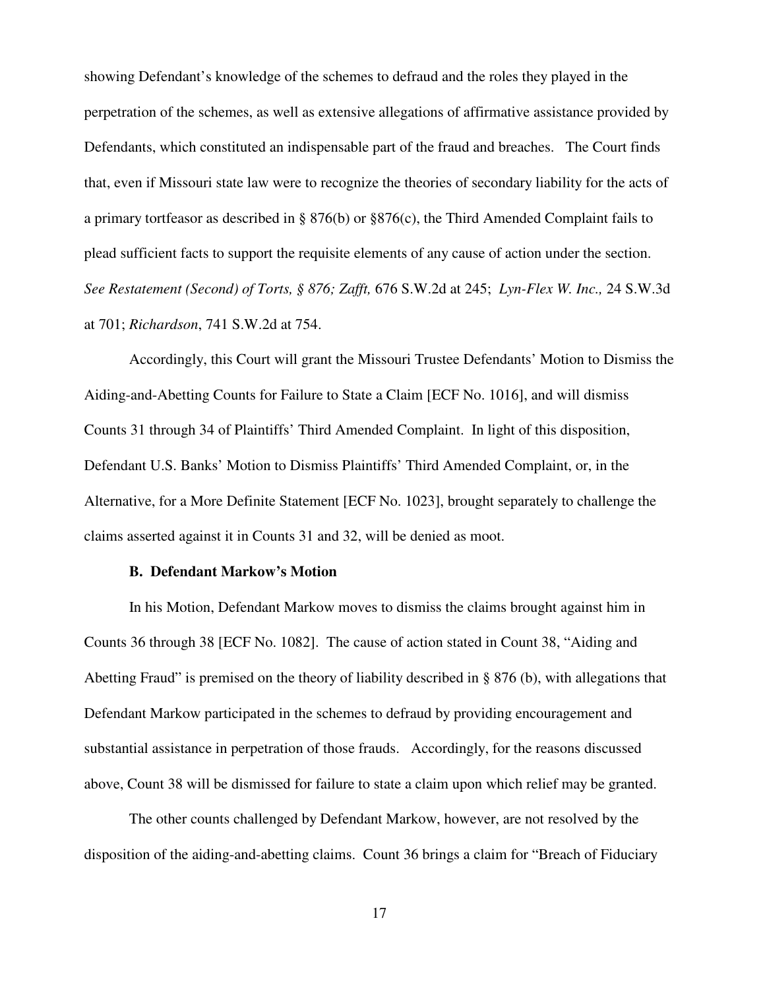showing Defendant's knowledge of the schemes to defraud and the roles they played in the perpetration of the schemes, as well as extensive allegations of affirmative assistance provided by Defendants, which constituted an indispensable part of the fraud and breaches. The Court finds that, even if Missouri state law were to recognize the theories of secondary liability for the acts of a primary tortfeasor as described in § 876(b) or §876(c), the Third Amended Complaint fails to plead sufficient facts to support the requisite elements of any cause of action under the section. *See Restatement (Second) of Torts, § 876; Zafft,* 676 S.W.2d at 245; *Lyn-Flex W. Inc.,* 24 S.W.3d at 701; *Richardson*, 741 S.W.2d at 754.

Accordingly, this Court will grant the Missouri Trustee Defendants' Motion to Dismiss the Aiding-and-Abetting Counts for Failure to State a Claim [ECF No. 1016], and will dismiss Counts 31 through 34 of Plaintiffs' Third Amended Complaint. In light of this disposition, Defendant U.S. Banks' Motion to Dismiss Plaintiffs' Third Amended Complaint, or, in the Alternative, for a More Definite Statement [ECF No. 1023], brought separately to challenge the claims asserted against it in Counts 31 and 32, will be denied as moot.

## **B. Defendant Markow's Motion**

In his Motion, Defendant Markow moves to dismiss the claims brought against him in Counts 36 through 38 [ECF No. 1082]. The cause of action stated in Count 38, "Aiding and Abetting Fraud" is premised on the theory of liability described in § 876 (b), with allegations that Defendant Markow participated in the schemes to defraud by providing encouragement and substantial assistance in perpetration of those frauds. Accordingly, for the reasons discussed above, Count 38 will be dismissed for failure to state a claim upon which relief may be granted.

The other counts challenged by Defendant Markow, however, are not resolved by the disposition of the aiding-and-abetting claims. Count 36 brings a claim for "Breach of Fiduciary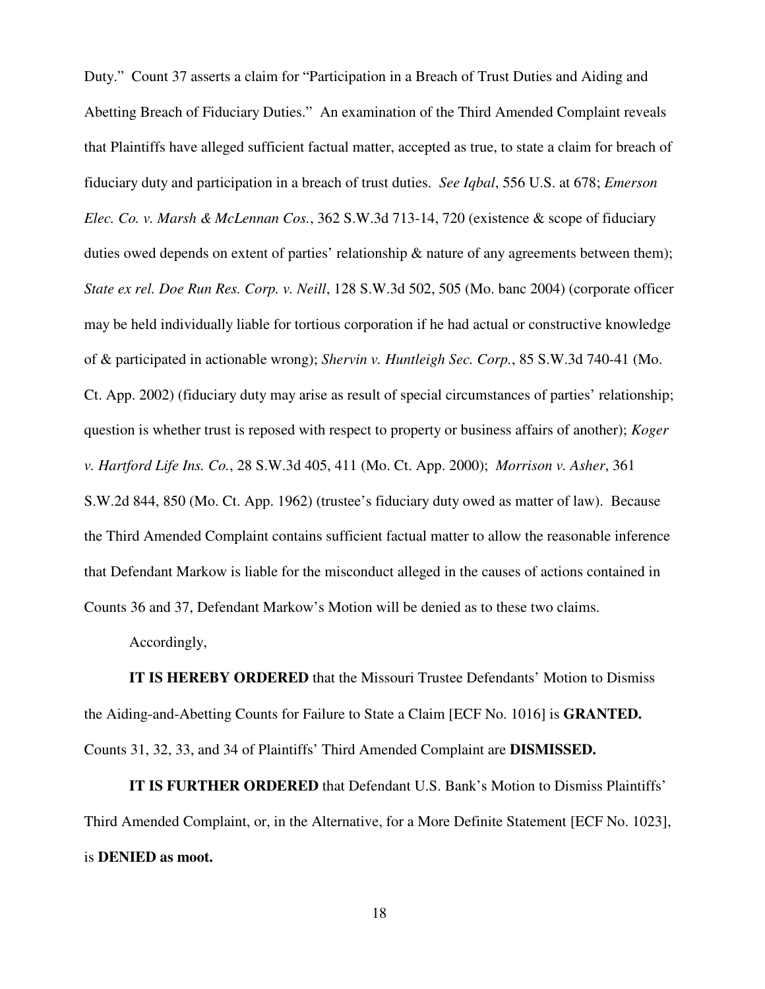Duty." Count 37 asserts a claim for "Participation in a Breach of Trust Duties and Aiding and Abetting Breach of Fiduciary Duties." An examination of the Third Amended Complaint reveals that Plaintiffs have alleged sufficient factual matter, accepted as true, to state a claim for breach of fiduciary duty and participation in a breach of trust duties. *See Iqbal*, 556 U.S. at 678; *Emerson Elec. Co. v. Marsh & McLennan Cos.*, 362 S.W.3d 713-14, 720 (existence & scope of fiduciary duties owed depends on extent of parties' relationship & nature of any agreements between them); *State ex rel. Doe Run Res. Corp. v. Neill*, 128 S.W.3d 502, 505 (Mo. banc 2004) (corporate officer may be held individually liable for tortious corporation if he had actual or constructive knowledge of & participated in actionable wrong); *Shervin v. Huntleigh Sec. Corp.*, 85 S.W.3d 740-41 (Mo. Ct. App. 2002) (fiduciary duty may arise as result of special circumstances of parties' relationship; question is whether trust is reposed with respect to property or business affairs of another); *Koger v. Hartford Life Ins. Co.*, 28 S.W.3d 405, 411 (Mo. Ct. App. 2000); *Morrison v. Asher*, 361 S.W.2d 844, 850 (Mo. Ct. App. 1962) (trustee's fiduciary duty owed as matter of law). Because the Third Amended Complaint contains sufficient factual matter to allow the reasonable inference that Defendant Markow is liable for the misconduct alleged in the causes of actions contained in Counts 36 and 37, Defendant Markow's Motion will be denied as to these two claims.

Accordingly,

**IT IS HEREBY ORDERED** that the Missouri Trustee Defendants' Motion to Dismiss the Aiding-and-Abetting Counts for Failure to State a Claim [ECF No. 1016] is **GRANTED.** Counts 31, 32, 33, and 34 of Plaintiffs' Third Amended Complaint are **DISMISSED.**

**IT IS FURTHER ORDERED** that Defendant U.S. Bank's Motion to Dismiss Plaintiffs' Third Amended Complaint, or, in the Alternative, for a More Definite Statement [ECF No. 1023], is **DENIED as moot.**